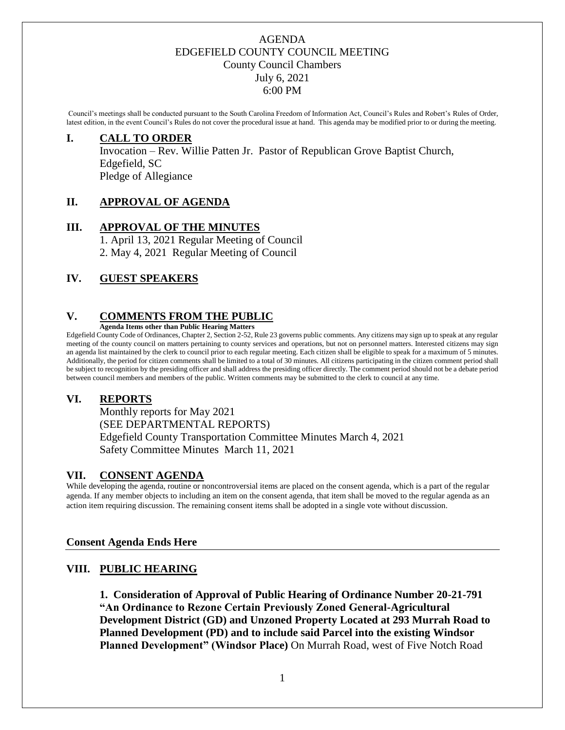Council's meetings shall be conducted pursuant to the South Carolina Freedom of Information Act, Council's Rules and Robert's Rules of Order, latest edition, in the event Council's Rules do not cover the procedural issue at hand. This agenda may be modified prior to or during the meeting.

#### **I. CALL TO ORDER**

Invocation – Rev. Willie Patten Jr. Pastor of Republican Grove Baptist Church, Edgefield, SC Pledge of Allegiance

#### **II. APPROVAL OF AGENDA**

#### **III. APPROVAL OF THE MINUTES**

1. April 13, 2021 Regular Meeting of Council 2. May 4, 2021 Regular Meeting of Council

#### **IV. GUEST SPEAKERS**

#### **V. COMMENTS FROM THE PUBLIC**

**Agenda Items other than Public Hearing Matters**

Edgefield County Code of Ordinances, Chapter 2, Section 2-52, Rule 23 governs public comments. Any citizens may sign up to speak at any regular meeting of the county council on matters pertaining to county services and operations, but not on personnel matters. Interested citizens may sign an agenda list maintained by the clerk to council prior to each regular meeting. Each citizen shall be eligible to speak for a maximum of 5 minutes. Additionally, the period for citizen comments shall be limited to a total of 30 minutes. All citizens participating in the citizen comment period shall be subject to recognition by the presiding officer and shall address the presiding officer directly. The comment period should not be a debate period between council members and members of the public. Written comments may be submitted to the clerk to council at any time.

# **VI. REPORTS**

Monthly reports for May 2021 (SEE DEPARTMENTAL REPORTS) Edgefield County Transportation Committee Minutes March 4, 2021 Safety Committee Minutes March 11, 2021

#### **VII. CONSENT AGENDA**

While developing the agenda, routine or noncontroversial items are placed on the consent agenda, which is a part of the regular agenda. If any member objects to including an item on the consent agenda, that item shall be moved to the regular agenda as an action item requiring discussion. The remaining consent items shall be adopted in a single vote without discussion.

#### **Consent Agenda Ends Here**

# **VIII. PUBLIC HEARING**

**1. Consideration of Approval of Public Hearing of Ordinance Number 20-21-791 "An Ordinance to Rezone Certain Previously Zoned General-Agricultural Development District (GD) and Unzoned Property Located at 293 Murrah Road to Planned Development (PD) and to include said Parcel into the existing Windsor Planned Development" (Windsor Place)** On Murrah Road, west of Five Notch Road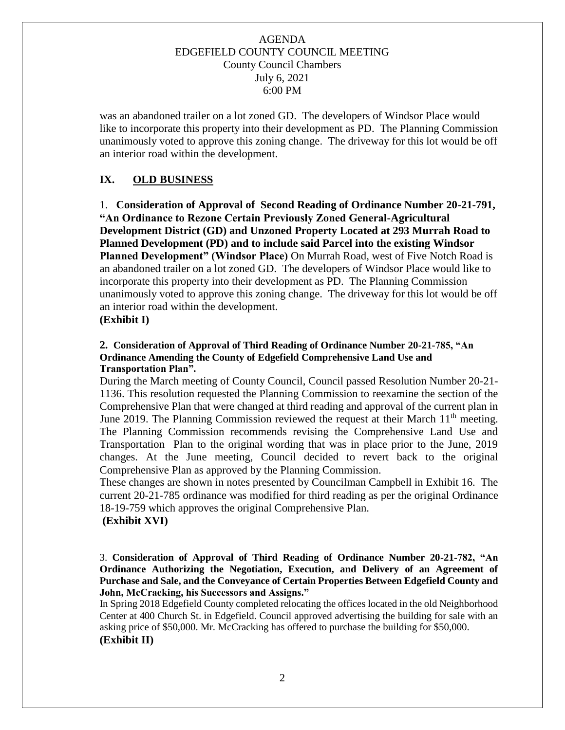was an abandoned trailer on a lot zoned GD. The developers of Windsor Place would like to incorporate this property into their development as PD. The Planning Commission unanimously voted to approve this zoning change. The driveway for this lot would be off an interior road within the development.

# **IX. OLD BUSINESS**

1. **Consideration of Approval of Second Reading of Ordinance Number 20-21-791, "An Ordinance to Rezone Certain Previously Zoned General-Agricultural Development District (GD) and Unzoned Property Located at 293 Murrah Road to Planned Development (PD) and to include said Parcel into the existing Windsor Planned Development" (Windsor Place)** On Murrah Road, west of Five Notch Road is an abandoned trailer on a lot zoned GD. The developers of Windsor Place would like to incorporate this property into their development as PD. The Planning Commission unanimously voted to approve this zoning change. The driveway for this lot would be off an interior road within the development.

# **(Exhibit I)**

#### **2. Consideration of Approval of Third Reading of Ordinance Number 20-21-785, "An Ordinance Amending the County of Edgefield Comprehensive Land Use and Transportation Plan".**

During the March meeting of County Council, Council passed Resolution Number 20-21- 1136. This resolution requested the Planning Commission to reexamine the section of the Comprehensive Plan that were changed at third reading and approval of the current plan in June 2019. The Planning Commission reviewed the request at their March  $11<sup>th</sup>$  meeting. The Planning Commission recommends revising the Comprehensive Land Use and Transportation Plan to the original wording that was in place prior to the June, 2019 changes. At the June meeting, Council decided to revert back to the original Comprehensive Plan as approved by the Planning Commission.

These changes are shown in notes presented by Councilman Campbell in Exhibit 16. The current 20-21-785 ordinance was modified for third reading as per the original Ordinance 18-19-759 which approves the original Comprehensive Plan.

#### **(Exhibit XVI)**

3. **Consideration of Approval of Third Reading of Ordinance Number 20-21-782, "An Ordinance Authorizing the Negotiation, Execution, and Delivery of an Agreement of Purchase and Sale, and the Conveyance of Certain Properties Between Edgefield County and John, McCracking, his Successors and Assigns."**

In Spring 2018 Edgefield County completed relocating the offices located in the old Neighborhood Center at 400 Church St. in Edgefield. Council approved advertising the building for sale with an asking price of \$50,000. Mr. McCracking has offered to purchase the building for \$50,000. **(Exhibit II)**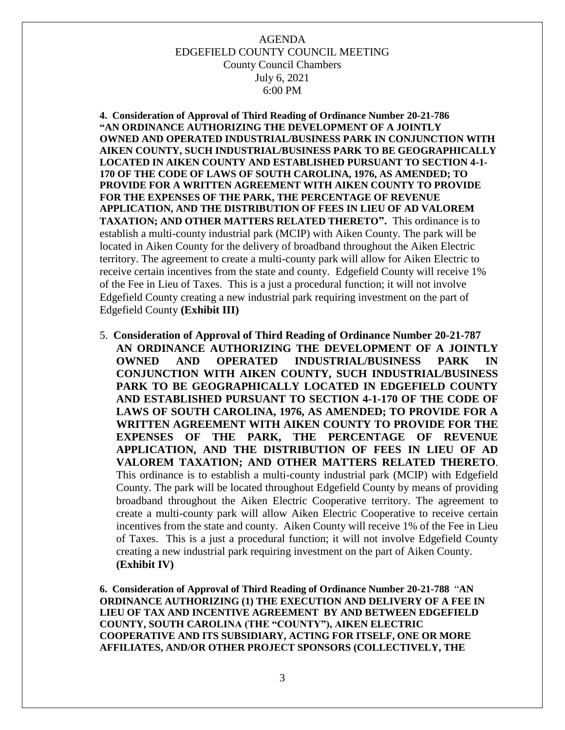**4. Consideration of Approval of Third Reading of Ordinance Number 20-21-786 "AN ORDINANCE AUTHORIZING THE DEVELOPMENT OF A JOINTLY OWNED AND OPERATED INDUSTRIAL/BUSINESS PARK IN CONJUNCTION WITH AIKEN COUNTY, SUCH INDUSTRIAL/BUSINESS PARK TO BE GEOGRAPHICALLY LOCATED IN AIKEN COUNTY AND ESTABLISHED PURSUANT TO SECTION 4-1- 170 OF THE CODE OF LAWS OF SOUTH CAROLINA, 1976, AS AMENDED; TO PROVIDE FOR A WRITTEN AGREEMENT WITH AIKEN COUNTY TO PROVIDE FOR THE EXPENSES OF THE PARK, THE PERCENTAGE OF REVENUE APPLICATION, AND THE DISTRIBUTION OF FEES IN LIEU OF AD VALOREM TAXATION; AND OTHER MATTERS RELATED THERETO".** This ordinance is to establish a multi-county industrial park (MCIP) with Aiken County. The park will be located in Aiken County for the delivery of broadband throughout the Aiken Electric territory. The agreement to create a multi-county park will allow for Aiken Electric to receive certain incentives from the state and county. Edgefield County will receive 1% of the Fee in Lieu of Taxes. This is a just a procedural function; it will not involve Edgefield County creating a new industrial park requiring investment on the part of Edgefield County **(Exhibit III)**

5. **Consideration of Approval of Third Reading of Ordinance Number 20-21-787 AN ORDINANCE AUTHORIZING THE DEVELOPMENT OF A JOINTLY OWNED AND OPERATED INDUSTRIAL/BUSINESS PARK IN CONJUNCTION WITH AIKEN COUNTY, SUCH INDUSTRIAL/BUSINESS PARK TO BE GEOGRAPHICALLY LOCATED IN EDGEFIELD COUNTY AND ESTABLISHED PURSUANT TO SECTION 4-1-170 OF THE CODE OF LAWS OF SOUTH CAROLINA, 1976, AS AMENDED; TO PROVIDE FOR A WRITTEN AGREEMENT WITH AIKEN COUNTY TO PROVIDE FOR THE EXPENSES OF THE PARK, THE PERCENTAGE OF REVENUE APPLICATION, AND THE DISTRIBUTION OF FEES IN LIEU OF AD VALOREM TAXATION; AND OTHER MATTERS RELATED THERETO**. This ordinance is to establish a multi-county industrial park (MCIP) with Edgefield County. The park will be located throughout Edgefield County by means of providing broadband throughout the Aiken Electric Cooperative territory. The agreement to create a multi-county park will allow Aiken Electric Cooperative to receive certain incentives from the state and county. Aiken County will receive 1% of the Fee in Lieu of Taxes. This is a just a procedural function; it will not involve Edgefield County creating a new industrial park requiring investment on the part of Aiken County.  **(Exhibit IV)**

**6. Consideration of Approval of Third Reading of Ordinance Number 20-21-788** "**AN ORDINANCE AUTHORIZING (1) THE EXECUTION AND DELIVERY OF A FEE IN LIEU OF TAX AND INCENTIVE AGREEMENT BY AND BETWEEN EDGEFIELD COUNTY, SOUTH CAROLINA (THE "COUNTY"), AIKEN ELECTRIC COOPERATIVE AND ITS SUBSIDIARY, ACTING FOR ITSELF, ONE OR MORE AFFILIATES, AND/OR OTHER PROJECT SPONSORS (COLLECTIVELY, THE**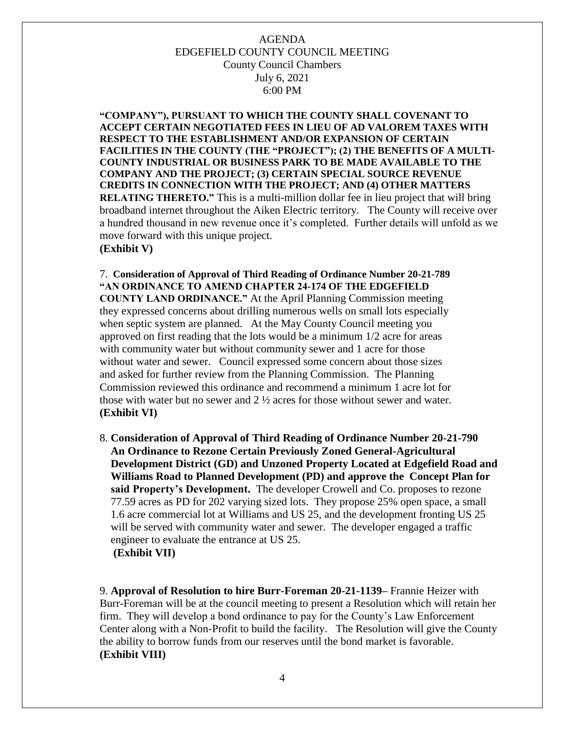**"COMPANY"), PURSUANT TO WHICH THE COUNTY SHALL COVENANT TO ACCEPT CERTAIN NEGOTIATED FEES IN LIEU OF AD VALOREM TAXES WITH RESPECT TO THE ESTABLISHMENT AND/OR EXPANSION OF CERTAIN FACILITIES IN THE COUNTY (THE "PROJECT"); (2) THE BENEFITS OF A MULTI-COUNTY INDUSTRIAL OR BUSINESS PARK TO BE MADE AVAILABLE TO THE COMPANY AND THE PROJECT; (3) CERTAIN SPECIAL SOURCE REVENUE CREDITS IN CONNECTION WITH THE PROJECT; AND (4) OTHER MATTERS RELATING THERETO."** This is a multi-million dollar fee in lieu project that will bring broadband internet throughout the Aiken Electric territory. The County will receive over a hundred thousand in new revenue once it's completed. Further details will unfold as we move forward with this unique project. **(Exhibit V)**

7. **Consideration of Approval of Third Reading of Ordinance Number 20-21-789 "AN ORDINANCE TO AMEND CHAPTER 24-174 OF THE EDGEFIELD COUNTY LAND ORDINANCE."** At the April Planning Commission meeting they expressed concerns about drilling numerous wells on small lots especially when septic system are planned. At the May County Council meeting you approved on first reading that the lots would be a minimum 1/2 acre for areas with community water but without community sewer and 1 acre for those without water and sewer. Council expressed some concern about those sizes and asked for further review from the Planning Commission. The Planning Commission reviewed this ordinance and recommend a minimum 1 acre lot for those with water but no sewer and  $2 \frac{1}{2}$  acres for those without sewer and water. **(Exhibit VI)**

8. **Consideration of Approval of Third Reading of Ordinance Number 20-21-790 An Ordinance to Rezone Certain Previously Zoned General-Agricultural Development District (GD) and Unzoned Property Located at Edgefield Road and Williams Road to Planned Development (PD) and approve the Concept Plan for said Property's Development.** The developer Crowell and Co. proposes to rezone 77.59 acres as PD for 202 varying sized lots. They propose 25% open space, a small 1.6 acre commercial lot at Williams and US 25, and the development fronting US 25 will be served with community water and sewer. The developer engaged a traffic engineer to evaluate the entrance at US 25.  **(Exhibit VII)**

9. **Approval of Resolution to hire Burr-Foreman 20-21-1139–** Frannie Heizer with Burr-Foreman will be at the council meeting to present a Resolution which will retain her firm. They will develop a bond ordinance to pay for the County's Law Enforcement Center along with a Non-Profit to build the facility. The Resolution will give the County the ability to borrow funds from our reserves until the bond market is favorable. **(Exhibit VIII)**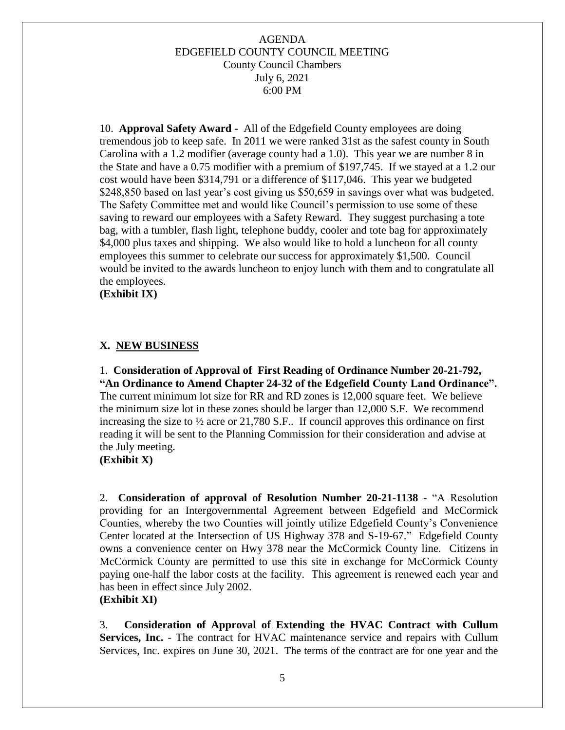10. **Approval Safety Award -** All of the Edgefield County employees are doing tremendous job to keep safe. In 2011 we were ranked 31st as the safest county in South Carolina with a 1.2 modifier (average county had a 1.0). This year we are number 8 in the State and have a 0.75 modifier with a premium of \$197,745. If we stayed at a 1.2 our cost would have been \$314,791 or a difference of \$117,046. This year we budgeted \$248,850 based on last year's cost giving us \$50,659 in savings over what was budgeted. The Safety Committee met and would like Council's permission to use some of these saving to reward our employees with a Safety Reward. They suggest purchasing a tote bag, with a tumbler, flash light, telephone buddy, cooler and tote bag for approximately \$4,000 plus taxes and shipping. We also would like to hold a luncheon for all county employees this summer to celebrate our success for approximately \$1,500. Council would be invited to the awards luncheon to enjoy lunch with them and to congratulate all the employees.

 **(Exhibit IX)**

#### **X. NEW BUSINESS**

1. **Consideration of Approval of First Reading of Ordinance Number 20-21-792, "An Ordinance to Amend Chapter 24-32 of the Edgefield County Land Ordinance".** The current minimum lot size for RR and RD zones is 12,000 square feet. We believe the minimum size lot in these zones should be larger than 12,000 S.F. We recommend increasing the size to ½ acre or 21,780 S.F.. If council approves this ordinance on first reading it will be sent to the Planning Commission for their consideration and advise at the July meeting.

**(Exhibit X)**

2. **Consideration of approval of Resolution Number 20-21-1138** - "A Resolution providing for an Intergovernmental Agreement between Edgefield and McCormick Counties, whereby the two Counties will jointly utilize Edgefield County's Convenience Center located at the Intersection of US Highway 378 and S-19-67."Edgefield County owns a convenience center on Hwy 378 near the McCormick County line. Citizens in McCormick County are permitted to use this site in exchange for McCormick County paying one-half the labor costs at the facility. This agreement is renewed each year and has been in effect since July 2002.

#### **(Exhibit XI)**

3. **Consideration of Approval of Extending the HVAC Contract with Cullum Services, Inc.** - The contract for HVAC maintenance service and repairs with Cullum Services, Inc. expires on June 30, 2021. The terms of the contract are for one year and the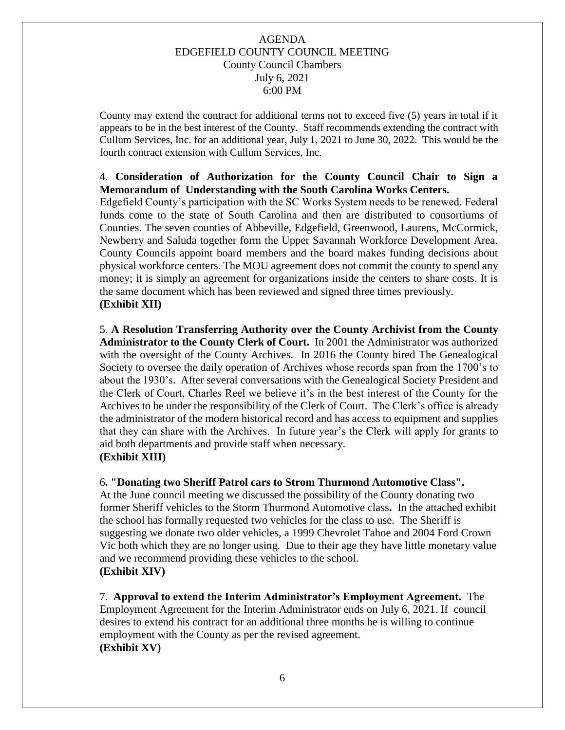County may extend the contract for additional terms not to exceed five (5) years in total if it appears to be in the best interest of the County. Staff recommends extending the contract with Cullum Services, Inc. for an additional year, July 1, 2021 to June 30, 2022. This would be the fourth contract extension with Cullum Services, Inc.

#### 4. **Consideration of Authorization for the County Council Chair to Sign a Memorandum of Understanding with the South Carolina Works Centers.**

Edgefield County's participation with the SC Works System needs to be renewed. Federal funds come to the state of South Carolina and then are distributed to consortiums of Counties. The seven counties of Abbeville, Edgefield, Greenwood, Laurens, McCormick, Newberry and Saluda together form the Upper Savannah Workforce Development Area. County Councils appoint board members and the board makes funding decisions about physical workforce centers. The MOU agreement does not commit the county to spend any money; it is simply an agreement for organizations inside the centers to share costs. It is the same document which has been reviewed and signed three times previously*.* **(Exhibit XII)**

5. **A Resolution Transferring Authority over the County Archivist from the County Administrator to the County Clerk of Court.** In 2001 the Administrator was authorized with the oversight of the County Archives. In 2016 the County hired The Genealogical Society to oversee the daily operation of Archives whose records span from the 1700's to about the 1930's. After several conversations with the Genealogical Society President and the Clerk of Court, Charles Reel we believe it's in the best interest of the County for the Archives to be under the responsibility of the Clerk of Court. The Clerk's office is already the administrator of the modern historical record and has access to equipment and supplies that they can share with the Archives. In future year's the Clerk will apply for grants to aid both departments and provide staff when necessary. **(Exhibit XIII)**

#### 6**. "Donating two Sheriff Patrol cars to Strom Thurmond Automotive Class".**

At the June council meeting we discussed the possibility of the County donating two former Sheriff vehicles to the Storm Thurmond Automotive class**.** In the attached exhibit the school has formally requested two vehicles for the class to use. The Sheriff is suggesting we donate two older vehicles, a 1999 Chevrolet Tahoe and 2004 Ford Crown Vic both which they are no longer using. Due to their age they have little monetary value and we recommend providing these vehicles to the school.

# **(Exhibit XIV)**

7. **Approval to extend the Interim Administrator's Employment Agreement.** The Employment Agreement for the Interim Administrator ends on July 6, 2021. If council desires to extend his contract for an additional three months he is willing to continue employment with the County as per the revised agreement. **(Exhibit XV)**